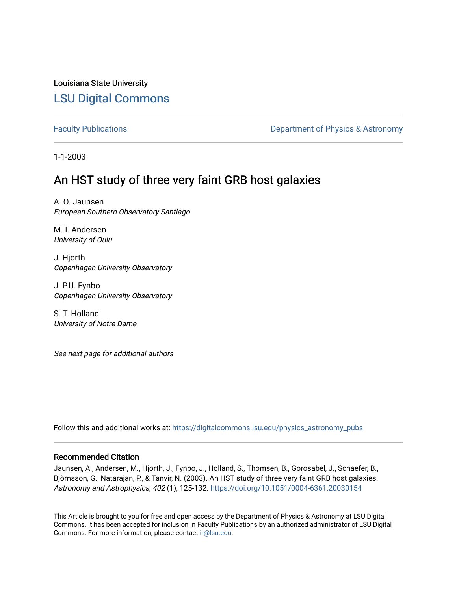# Louisiana State University [LSU Digital Commons](https://digitalcommons.lsu.edu/)

[Faculty Publications](https://digitalcommons.lsu.edu/physics_astronomy_pubs) **Exercise 2 and Table 2 and Table 2 and Table 2 and Table 2 and Table 2 and Table 2 and Table 2 and Table 2 and Table 2 and Table 2 and Table 2 and Table 2 and Table 2 and Table 2 and Table 2 and Table** 

1-1-2003

# An HST study of three very faint GRB host galaxies

A. O. Jaunsen European Southern Observatory Santiago

M. I. Andersen University of Oulu

J. Hjorth Copenhagen University Observatory

J. P.U. Fynbo Copenhagen University Observatory

S. T. Holland University of Notre Dame

See next page for additional authors

Follow this and additional works at: [https://digitalcommons.lsu.edu/physics\\_astronomy\\_pubs](https://digitalcommons.lsu.edu/physics_astronomy_pubs?utm_source=digitalcommons.lsu.edu%2Fphysics_astronomy_pubs%2F4753&utm_medium=PDF&utm_campaign=PDFCoverPages) 

## Recommended Citation

Jaunsen, A., Andersen, M., Hjorth, J., Fynbo, J., Holland, S., Thomsen, B., Gorosabel, J., Schaefer, B., Björnsson, G., Natarajan, P., & Tanvir, N. (2003). An HST study of three very faint GRB host galaxies. Astronomy and Astrophysics, 402 (1), 125-132.<https://doi.org/10.1051/0004-6361:20030154>

This Article is brought to you for free and open access by the Department of Physics & Astronomy at LSU Digital Commons. It has been accepted for inclusion in Faculty Publications by an authorized administrator of LSU Digital Commons. For more information, please contact [ir@lsu.edu](mailto:ir@lsu.edu).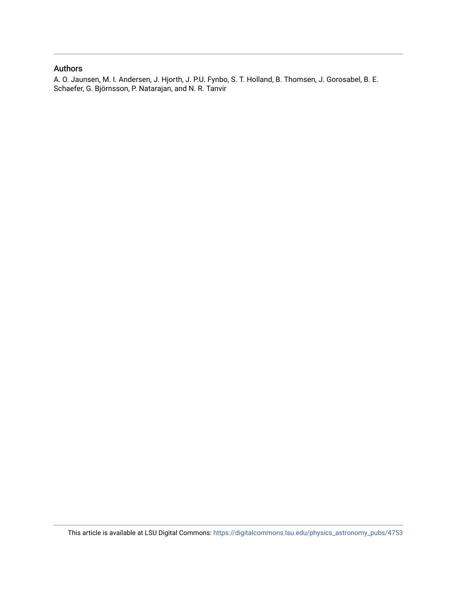## Authors

A. O. Jaunsen, M. I. Andersen, J. Hjorth, J. P.U. Fynbo, S. T. Holland, B. Thomsen, J. Gorosabel, B. E. Schaefer, G. Björnsson, P. Natarajan, and N. R. Tanvir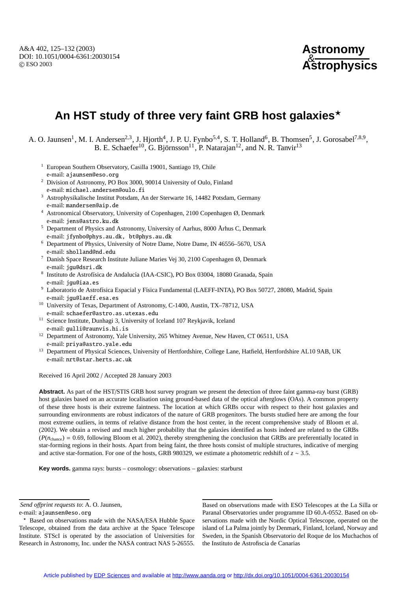## **Astronomy** & **Astrophysics**

# **An HST study of three very faint GRB host galaxies**

A. O. Jaunsen<sup>1</sup>, M. I. Andersen<sup>2,3</sup>, J. Hjorth<sup>4</sup>, J. P. U. Fynbo<sup>5,4</sup>, S. T. Holland<sup>6</sup>, B. Thomsen<sup>5</sup>, J. Gorosabel<sup>7,8,9</sup>, B. E. Schaefer<sup>10</sup>, G. Björnsson<sup>11</sup>, P. Natarajan<sup>12</sup>, and N. R. Tanvir<sup>13</sup>

- <sup>1</sup> European Southern Observatory, Casilla 19001, Santiago 19, Chile e-mail: ajaunsen@eso.org
- <sup>2</sup> Division of Astronomy, PO Box 3000, 90014 University of Oulo, Finland e-mail: michael.andersen@oulo.fi
- <sup>3</sup> Astrophysikalische Institut Potsdam, An der Sterwarte 16, 14482 Potsdam, Germany e-mail: mandersen@aip.de
- <sup>4</sup> Astronomical Observatory, University of Copenhagen, 2100 Copenhagen Ø, Denmark e-mail: jens@astro.ku.dk
- <sup>5</sup> Department of Physics and Astronomy, University of Aarhus, 8000 Århus C, Denmark e-mail: jfynbo@phys.au.dk, bt@phys.au.dk
- <sup>6</sup> Department of Physics, University of Notre Dame, Notre Dame, IN 46556–5670, USA e-mail: sholland@nd.edu
- <sup>7</sup> Danish Space Research Institute Juliane Maries Vej 30, 2100 Copenhagen Ø, Denmark e-mail: jgu@dsri.dk
- 8 Instituto de Astrofísica de Andalucía (IAA-CSIC), PO Box 03004, 18080 Granada, Spain e-mail: jgu@iaa.es
- <sup>9</sup> Laboratorio de Astrofísica Espacial y Física Fundamental (LAEFF-INTA), PO Box 50727, 28080, Madrid, Spain e-mail: jgu@laeff.esa.es
- <sup>10</sup> University of Texas, Department of Astronomy, C-1400, Austin, TX-78712, USA e-mail: schaefer@astro.as.utexas.edu
- <sup>11</sup> Science Institute, Dunhagi 3, University of Iceland 107 Reykjavik, Iceland e-mail: gulli@raunvis.hi.is
- <sup>12</sup> Department of Astronomy, Yale University, 265 Whitney Avenue, New Haven, CT 06511, USA e-mail: priya@astro.yale.edu
- <sup>13</sup> Department of Physical Sciences, University of Hertfordshire, College Lane, Hatfield, Hertfordshire AL10 9AB, UK e-mail: nrt@star.herts.ac.uk

Received 16 April 2002 / Accepted 28 January 2003

**Abstract.** As part of the HST/STIS GRB host survey program we present the detection of three faint gamma-ray burst (GRB) host galaxies based on an accurate localisation using ground-based data of the optical afterglows (OAs). A common property of these three hosts is their extreme faintness. The location at which GRBs occur with respect to their host galaxies and surrounding environments are robust indicators of the nature of GRB progenitors. The bursts studied here are among the four most extreme outliers, in terms of relative distance from the host center, in the recent comprehensive study of Bloom et al. (2002). We obtain a revised and much higher probability that the galaxies identified as hosts indeed are related to the GRBs  $(P(n_{\text{change}}) = 0.69$ , following Bloom et al. 2002), thereby strengthening the conclusion that GRBs are preferentially located in star-forming regions in their hosts. Apart from being faint, the three hosts consist of multiple structures, indicative of merging and active star-formation. For one of the hosts, GRB 980329, we estimate a photometric redshift of *z* ∼ 3.5.

**Key words.** gamma rays: bursts – cosmology: observations – galaxies: starburst

*Send o*ff*print requests to*: A. O. Jaunsen,

Based on observations made with ESO Telescopes at the La Silla or Paranal Observatories under programme ID 60.A-0552. Based on observations made with the Nordic Optical Telescope, operated on the island of La Palma jointly by Denmark, Finland, Iceland, Norway and Sweden, in the Spanish Observatorio del Roque de los Muchachos of the Instituto de Astrofiscia de Canarias

e-mail: ajaunsen@eso.org

<sup>\*</sup> Based on observations made with the NASA/ESA Hubble Space Telescope, obtained from the data archive at the Space Telescope Institute. STScI is operated by the association of Universities for Research in Astronomy, Inc. under the NASA contract NAS 5-26555.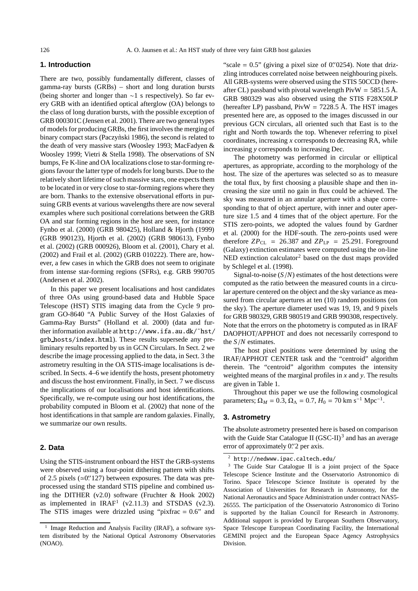### **1. Introduction**

There are two, possibly fundamentally different, classes of gamma-ray bursts (GRBs) – short and long duration bursts (being shorter and longer than ∼1 s respectively). So far every GRB with an identified optical afterglow (OA) belongs to the class of long duration bursts, with the possible exception of GRB 000301C (Jensen et al. 2001). There are two general types of models for producing GRBs, the first involves the merging of binary compact stars (Paczynski 1986), the second is related to the death of very massive stars (Woosley 1993; MacFadyen & Woosley 1999; Vietri & Stella 1998). The observations of SN bumps, Fe K-line and OA localizations close to star-forming regions favour the latter type of models for long bursts. Due to the relatively short lifetime of such massive stars, one expects them to be located in or very close to star-forming regions where they are born. Thanks to the extensive observational efforts in pursuing GRB events at various wavelengths there are now several examples where such positional correlations between the GRB OA and star forming regions in the host are seen, for instance Fynbo et al. (2000) (GRB 980425), Holland & Hjorth (1999) (GRB 990123), Hjorth et al. (2002) (GRB 980613), Fynbo et al. (2002) (GRB 000926), Bloom et al. (2001), Chary et al. (2002) and Frail et al. (2002) (GRB 010222). There are, however, a few cases in which the GRB does not seem to originate from intense star-forming regions (SFRs), e.g. GRB 990705 (Andersen et al. 2002).

In this paper we present localisations and host candidates of three OAs using ground-based data and Hubble Space Telescope (HST) STIS imaging data from the Cycle 9 program GO-8640 "A Public Survey of the Host Galaxies of Gamma-Ray Bursts" (Holland et al. 2000) (data and further information available at http://www.ifa.au.dk/˜hst/ grb hosts/index.html). These results supersede any preliminary results reported by us in GCN Circulars. In Sect. 2 we describe the image processing applied to the data, in Sect. 3 the astrometry resulting in the OA STIS-image localisations is described. In Sects. 4–6 we identify the hosts, present photometry and discuss the host environment. Finally, in Sect. 7 we discuss the implications of our localisations and host identifications. Specifically, we re-compute using our host identifications, the probability computed in Bloom et al. (2002) that none of the host identifications in that sample are random galaxies. Finally, we summarize our own results.

#### **2. Data**

Using the STIS-instrument onboard the HST the GRB-systems were observed using a four-point dithering pattern with shifts of 2.5 pixels  $(\simeq 0.127)$  between exposures. The data was preprocessed using the standard STIS pipeline and combined using the DITHER (v2.0) software (Fruchter & Hook 2002) as implemented in  $IRAF<sup>1</sup>$  (v2.11.3) and STSDAS (v2.3). The STIS images were drizzled using "pixfrac  $= 0.6$ " and

"scale  $= 0.5$ " (giving a pixel size of 0." 0254). Note that drizzling introduces correlated noise between neighbouring pixels. All GRB-systems were observed using the STIS 50CCD (hereafter CL) passband with pivotal wavelength  $PivW = 5851.5 \text{ Å}.$ GRB 980329 was also observed using the STIS F28X50LP (hereafter LP) passband,  $PivW = 7228.5$  Å. The HST images presented here are, as opposed to the images discussed in our previous GCN circulars, all oriented such that East is to the right and North towards the top. Whenever referring to pixel coordinates, increasing *x* corresponds to decreasing RA, while increasing *y* corresponds to increasing Dec.

The photometry was performed in circular or elliptical apertures, as appropriate, according to the morphology of the host. The size of the apertures was selected so as to measure the total flux, by first choosing a plausible shape and then increasing the size until no gain in flux could be achieved. The sky was measured in an annular aperture with a shape corresponding to that of object aperture, with inner and outer aperture size 1.5 and 4 times that of the object aperture. For the STIS zero-points, we adopted the values found by Gardner et al. (2000) for the HDF-south. The zero-points used were therefore  $ZP_{CL}$  = 26.387 and  $ZP_{LP}$  = 25.291. Foreground (Galaxy) extinction estimates were computed using the on-line NED extinction calculator<sup>2</sup> based on the dust maps provided by Schlegel et al. (1998).

Signal-to-noise (*S*/*N*) estimates of the host detections were computed as the ratio between the measured counts in a circular aperture centered on the object and the sky variance as measured from circular apertures at ten (10) random positions (on the sky). The aperture diameter used was 19, 19, and 9 pixels for GRB 980329, GRB 980519 and GRB 990308, respectively. Note that the errors on the photometry is computed as in IRAF DAOPHOT/APPHOT and does not necessarily correspond to the *S*/*N* estimates.

The host pixel positions were determined by using the IRAF/APPHOT CENTER task and the "centroid" algorithm therein. The "centroid" algorithm computes the intensity weighted means of the marginal profiles in *x* and *y*. The results are given in Table 1.

Throughout this paper we use the following cosmological parameters;  $\Omega_M = 0.3$ ,  $\Omega_{\Lambda} = 0.7$ ,  $H_0 = 70$  km s<sup>-1</sup> Mpc<sup>-1</sup>.

### **3. Astrometry**

The absolute astrometry presented here is based on comparison with the Guide Star Catalogue II (GSC-II)<sup>3</sup> and has an average error of approximately 0" 2 per axis.

<sup>&</sup>lt;sup>1</sup> Image Reduction and Analysis Facility (IRAF), a software system distributed by the National Optical Astronomy Observatories (NOAO).

<sup>2</sup> http://nedwww.ipac.caltech.edu/

<sup>&</sup>lt;sup>3</sup> The Guide Star Catalogue II is a joint project of the Space Telescope Science Institute and the Osservatorio Astronomico di Torino. Space Telescope Science Institute is operated by the Association of Universities for Research in Astronomy, for the National Aeronautics and Space Administration under contract NAS5- 26555. The participation of the Osservatorio Astronomico di Torino is supported by the Italian Council for Research in Astronomy. Additional support is provided by European Southern Observatory, Space Telescope European Coordinating Facility, the International GEMINI project and the European Space Agency Astrophysics Division.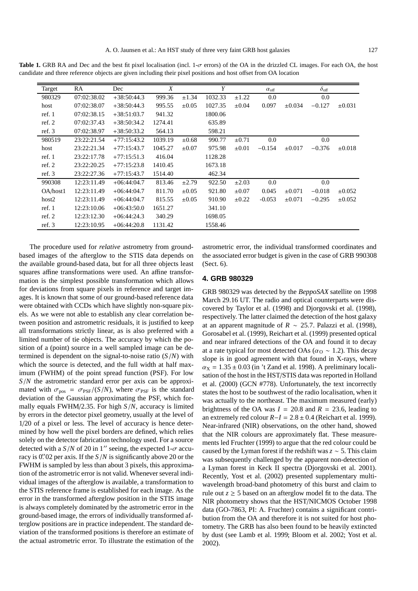Target RA Dec  $X$   $Y$   $\alpha_{\text{off}}$   $\delta_{\text{off}}$ 980329 07:02:38.02 +38:50:44.3 999.36 ±1.34 1032.33 ±1.22 0.0 0.0 host 07:02:38.07 +38:50:44.3 995.55 ±0.05 1027.35 ±0.04 0.097 ±0.034 −0.127 ±0.031 ref. 1 07:02:38.15 +38:51:03.7 941.32 1800.06 ref. 2 07:02:37.43 +38:50:34.2 1274.41 635.89 ref. 3 07:02:38.97 +38:50:33.2 564.13 598.21 980519 23:22:21.54 +77:15:43.2 1039.19 ±0.68 990.77 ±0.71 0.0 0.0 host 23:22:21.34 +77:15:43.7 1045.27 ±0.07 975.98 ±0.01 −0.154 ±0.017 −0.376 ±0.018 ref. 1 23:22:17.78 +77:15:51.3 416.04 1128.28 ref. 2 23:22:20.25 +77:15:23.8 1410.45 1673.18 ref. 3 23:22:27.36 +77:15:43.7 1514.40 462.34 990308 12:23:11.49 +06:44:04.7 813.46 ±2.79 922.50 ±2.03 0.0 0.0 OA/host1 12:23:11.49 +06:44:04.7 811.70 ±0.05 921.80 ±0.07 0.045 ±0.071 −0.018 ±0.052 host2 12:23:11.49 +06:44:04.7 815.55 ±0.05 910.90 ±0.22 -0.053 ±0.071 −0.295 ±0.052 ref. 1 12:23:10.06 +06:43:50.0 1651.27 341.10 ref. 2 12:23:12.30 +06:44:24.3 340.29 1698.05

**Table 1.** GRB RA and Dec and the best fit pixel localisation (incl. 1-σ errors) of the OA in the drizzled CL images. For each OA, the host candidate and three reference objects are given including their pixel positions and host offset from OA location

The procedure used for *relative* astrometry from groundbased images of the afterglow to the STIS data depends on the available ground-based data, but for all three objects least squares affine transformations were used. An affine transformation is the simplest possible transformation which allows for deviations from square pixels in reference and target images. It is known that some of our ground-based reference data were obtained with CCDs which have slightly non-square pixels. As we were not able to establish any clear correlation between position and astrometric residuals, it is justified to keep all transformations strictly linear, as is also preferred with a limited number of tie objects. The accuracy by which the position of a (point) source in a well sampled image can be determined is dependent on the signal-to-noise ratio  $(S/N)$  with which the source is detected, and the full width at half maximum (FWHM) of the point spread function (PSF). For low *S*/*N* the astrometric standard error per axis can be approximated with  $\sigma_{pos} = \sigma_{\text{PSF}}/(S/N)$ , where  $\sigma_{\text{PSF}}$  is the standard deviation of the Gaussian approximating the PSF, which formally equals FWHM/2.35. For high *S*/*N*, accuracy is limited by errors in the detector pixel geometry, usually at the level of 1/20 of a pixel or less. The level of accuracy is hence determined by how well the pixel borders are defined, which relies solely on the detector fabrication technology used. For a source detected with a  $S/N$  of 20 in 1" seeing, the expected 1- $\sigma$  accuracy is 0. 0. 02 per axis. If the  $S/N$  is significantly above 20 or the FWHM is sampled by less than about 3 pixels, this approximation of the astrometric error is not valid. Whenever several individual images of the afterglow is available, a transformation to the STIS reference frame is established for each image. As the error in the transformed afterglow position in the STIS image is always completely dominated by the astrometric error in the ground-based image, the errors of individually transformed afterglow positions are in practice independent. The standard deviation of the transformed positions is therefore an estimate of the actual astrometric error. To illustrate the estimation of the

ref. 3 12:23:10.95 +06:44:20.8 1131.42 1558.46

astrometric error, the individual transformed coordinates and the associated error budget is given in the case of GRB 990308 (Sect. 6).

#### **4. GRB 980329**

GRB 980329 was detected by the *BeppoSAX* satellite on 1998 March 29.16 UT. The radio and optical counterparts were discovered by Taylor et al. (1998) and Djorgovski et al. (1998), respectively. The latter claimed the detection of the host galaxy at an apparent magnitude of  $R \sim 25.7$ . Palazzi et al. (1998), Gorosabel et al. (1999), Reichart et al. (1999) presented optical and near infrared detections of the OA and found it to decay at a rate typical for most detected OAs ( $\alpha_{\rm O} \sim 1.2$ ). This decay slope is in good agreement with that found in X-rays, where  $\alpha_{\rm X}$  = 1.35  $\pm$  0.03 (in 't Zand et al. 1998). A preliminary localisation of the host in the HST/STIS data was reported in Holland et al. (2000) (GCN #778). Unfortunately, the text incorrectly states the host to be southwest of the radio localisation, when it was actually to the northeast. The maximum measured (early) brightness of the OA was  $I = 20.8$  and  $R = 23.6$ , leading to an extremely red colour  $R-I = 2.8 \pm 0.4$  (Reichart et al. 1999). Near-infrared (NIR) observations, on the other hand, showed that the NIR colours are approximately flat. These measurements led Fruchter (1999) to argue that the red colour could be caused by the Lyman forest if the redshift was *z* ∼ 5. This claim was subsequently challenged by the apparent non-detection of a Lyman forest in Keck II spectra (Djorgovski et al. 2001). Recently, Yost et al. (2002) presented supplementary multiwavelength broad-band photometry of this burst and claim to rule out  $z \geq 5$  based on an afterglow model fit to the data. The NIR photometry shows that the HST/NICMOS October 1998 data (GO-7863, PI: A. Fruchter) contains a significant contribution from the OA and therefore it is not suited for host photometry. The GRB has also been found to be heavily extincted by dust (see Lamb et al. 1999; Bloom et al. 2002; Yost et al. 2002).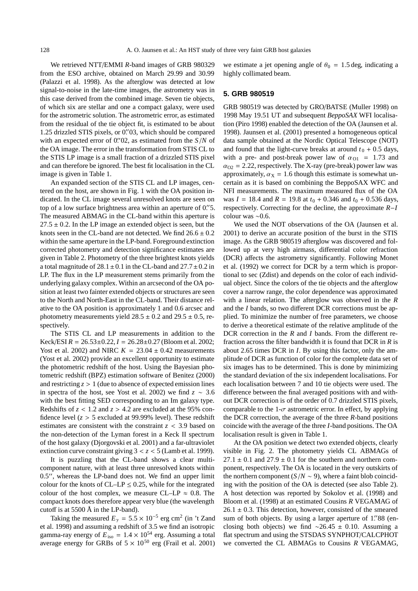We retrieved NTT/EMMI *R*-band images of GRB 980329 from the ESO archive, obtained on March 29.99 and 30.99 (Palazzi et al. 1998). As the afterglow was detected at low signal-to-noise in the late-time images, the astrometry was in this case derived from the combined image. Seven tie objects, of which six are stellar and one a compact galaxy, were used for the astrometric solution. The astrometric error, as estimated from the residual of the tie object fit, is estimated to be about 1.25 drizzled STIS pixels, or 0. 703, which should be compared with an expected error of 0." 02, as estimated from the  $S/N$  of the OA image. The error in the transformation from STIS CL to the STIS LP image is a small fraction of a drizzled STIS pixel and can therefore be ignored. The best fit localisation in the CL image is given in Table 1.

An expanded section of the STIS CL and LP images, centered on the host, are shown in Fig. 1 with the OA position indicated. In the CL image several unresolved knots are seen on top of a low surface brightness area within an aperture of 0."5. The measured ABMAG in the CL-band within this aperture is  $27.5 \pm 0.2$ . In the LP image an extended object is seen, but the knots seen in the CL-band are not detected. We find  $26.6 \pm 0.2$ within the same aperture in the LP-band. Foreground extinction corrected photometry and detection significance estimates are given in Table 2. Photometry of the three brightest knots yields a total magnitude of  $28.1 \pm 0.1$  in the CL-band and  $27.7 \pm 0.2$  in LP. The flux in the LP measurement stems primarily from the underlying galaxy complex. Within an arcsecond of the OA position at least two fainter extended objects or structures are seen to the North and North-East in the CL-band. Their distance relative to the OA position is approximately 1 and 0.6 arcsec and photometry measurements yield  $28.5 \pm 0.2$  and  $29.5 \pm 0.5$ , respectively.

The STIS CL and LP measurements in addition to the Keck/ESI  $R = 26.53 \pm 0.22$ ,  $I = 26.28 \pm 0.27$  (Bloom et al. 2002; Yost et al. 2002) and NIRC  $K = 23.04 \pm 0.42$  measurements (Yost et al. 2002) provide an excellent opportunity to estimate the photometric redshift of the host. Using the Bayesian photometric redshift (BPZ) estimation software of Benitez (2000) and restricting  $z > 1$  (due to absence of expected emission lines in spectra of the host, see Yost et al. 2002) we find *z* ∼ 3.6 with the best fitting SED corresponding to an Im galaxy type. Redshifts of  $z < 1.2$  and  $z > 4.2$  are excluded at the 95% confidence level  $(z > 5$  excluded at 99.99% level). These redshift estimates are consistent with the constraint *z* < 3.9 based on the non-detection of the Lyman forest in a Keck II spectrum of the host galaxy (Djorgovski et al. 2001) and a far-ultraviolet extinction curve constraint giving  $3 < z < 5$  (Lamb et al. 1999).

It is puzzling that the CL-band shows a clear multicomponent nature, with at least three unresolved knots within  $0.5''$ , whereas the LP-band does not. We find an upper limit colour for the knots of CL–LP  $\leq$  0.25, while for the integrated colour of the host complex, we measure CL–LP  $\approx 0.8$ . The compact knots does therefore appear very blue (the wavelength cutoff is at 5500 Å in the LP-band).

Taking the measured  $E<sub>y</sub> = 5.5 \times 10^{-5}$  erg cm<sup>2</sup> (in 't Zand et al. 1998) and assuming a redshift of 3.5 we find an isotropic gamma-ray energy of  $E_{\text{iso}} = 1.4 \times 10^{54}$  erg. Assuming a total average energy for GRBs of  $5 \times 10^{50}$  erg (Frail et al. 2001)

we estimate a jet opening angle of  $\theta_0 = 1.5$  deg, indicating a highly collimated beam.

#### **5. GRB 980519**

GRB 980519 was detected by GRO/BATSE (Muller 1998) on 1998 May 19.51 UT and subsequent *BeppoSAX* WFI localisation (Piro 1998) enabled the detection of the OA (Jaunsen et al. 1998). Jaunsen et al. (2001) presented a homogeneous optical data sample obtained at the Nordic Optical Telescope (NOT) and found that the light-curve breaks at around  $t_0 + 0.5$  days, with a pre- and post-break power law of  $\alpha_{01}$  = 1.73 and  $\alpha_{O2} = 2.22$ , respectively. The X-ray (pre-break) power law was approximately,  $\alpha_X = 1.6$  though this estimate is somewhat uncertain as it is based on combining the BeppoSAX WFC and NFI measurements. The maximum measured flux of the OA was  $I = 18.4$  and  $R = 19.8$  at  $t_0 + 0.346$  and  $t_0 + 0.536$  days, respectively. Correcting for the decline, the approximate *R*−*I* colour was ∼0.6.

We used the NOT observations of the OA (Jaunsen et al. 2001) to derive an accurate position of the burst in the STIS image. As the GRB 980519 afterglow was discovered and followed up at very high airmass, differential color refraction (DCR) affects the astrometry significantly. Following Monet et al. (1992) we correct for DCR by a term which is proportional to sec (Zdist) and depends on the color of each individual object. Since the colors of the tie objects and the afterglow cover a narrow range, the color dependence was approximated with a linear relation. The afterglow was observed in the *R* and the *I* bands, so two different DCR corrections must be applied. To minimize the number of free parameters, we choose to derive a theoretical estimate of the relative amplitude of the DCR correction in the *R* and *I* bands. From the different refraction across the filter bandwidth it is found that DCR in *R* is about 2.65 times DCR in *I*. By using this factor, only the amplitude of DCR as function of color for the complete data set of six images has to be determined. This is done by minimizing the standard deviation of the six independent localisations. For each localisation between 7 and 10 tie objects were used. The difference between the final averaged positions with and without DCR correction is of the order of 0.7 drizzled STIS pixels, comparable to the  $1-\sigma$  astrometric error. In effect, by applying the DCR correction, the average of the three *R*-band positions coincide with the average of the three *I*-band positions. The OA localisation result is given in Table 1.

At the OA position we detect two extended objects, clearly visible in Fig. 2. The photometry yields CL ABMAGs of  $27.1 \pm 0.1$  and  $27.9 \pm 0.1$  for the southern and northern component, respectively. The OA is located in the very outskirts of the northern component  $(S/N \sim 9)$ , where a faint blob coinciding with the position of the OA is detected (see also Table 2). A host detection was reported by Sokolov et al. (1998) and Bloom et al. (1998) at an estimated Cousins *R* VEGAMAG of  $26.1 \pm 0.3$ . This detection, however, consisted of the smeared sum of both objects. By using a larger aperture of 1. 88 (enclosing both objects) we find ∼26.45 ± 0.10. Assuming a flat spectrum and using the STSDAS SYNPHOT/CALCPHOT we converted the CL ABMAGs to Cousins *R* VEGAMAG,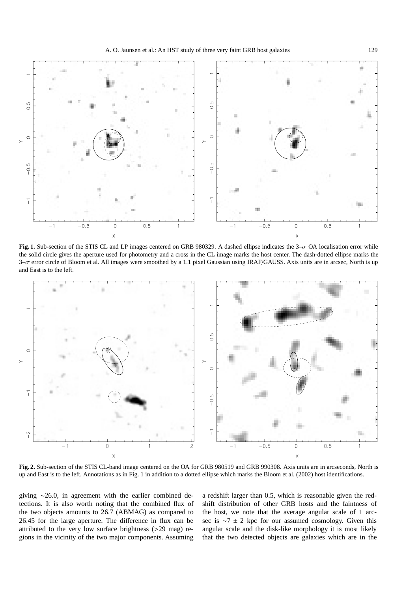

**Fig. 1.** Sub-section of the STIS CL and LP images centered on GRB 980329. A dashed ellipse indicates the 3–σ OA localisation error while the solid circle gives the aperture used for photometry and a cross in the CL image marks the host center. The dash-dotted ellipse marks the  $3-\sigma$  error circle of Bloom et al. All images were smoothed by a 1.1 pixel Gaussian using IRAF/GAUSS. Axis units are in arcsec, North is up and East is to the left.



**Fig. 2.** Sub-section of the STIS CL-band image centered on the OA for GRB 980519 and GRB 990308. Axis units are in arcseconds, North is up and East is to the left. Annotations as in Fig. 1 in addition to a dotted ellipse which marks the Bloom et al. (2002) host identifications.

giving ∼26.0, in agreement with the earlier combined detections. It is also worth noting that the combined flux of the two objects amounts to 26.7 (ABMAG) as compared to 26.45 for the large aperture. The difference in flux can be attributed to the very low surface brightness (>29 mag) regions in the vicinity of the two major components. Assuming

a redshift larger than 0.5, which is reasonable given the redshift distribution of other GRB hosts and the faintness of the host, we note that the average angular scale of 1 arcsec is ∼7 ± 2 kpc for our assumed cosmology. Given this angular scale and the disk-like morphology it is most likely that the two detected objects are galaxies which are in the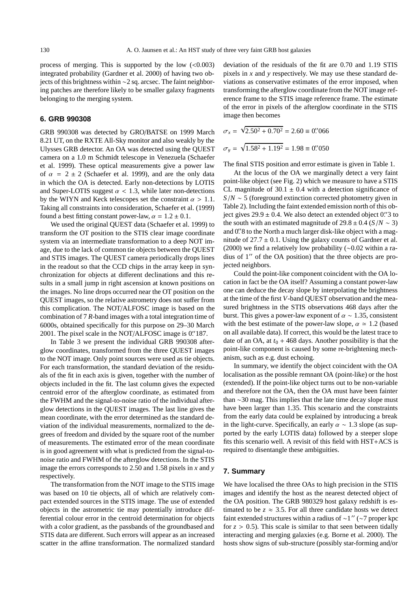process of merging. This is supported by the low  $(<0.003)$ integrated probability (Gardner et al. 2000) of having two objects of this brightness within ∼2 sq. arcsec. The faint neighboring patches are therefore likely to be smaller galaxy fragments belonging to the merging system.

### **6. GRB 990308**

GRB 990308 was detected by GRO/BATSE on 1999 March 8.21 UT, on the RXTE All-Sky monitor and also weakly by the Ulysses GRB detector. An OA was detected using the QUEST camera on a 1.0 m Schmidt telescope in Venezuela (Schaefer et al. 1999). These optical measurements give a power law of  $\alpha = 2 \pm 2$  (Schaefer et al. 1999), and are the only data in which the OA is detected. Early non-detections by LOTIS and Super-LOTIS suggest  $\alpha$  < 1.3, while later non-detections by the WIYN and Keck telescopes set the constraint  $\alpha > 1.1$ . Taking all constraints into consideration, Schaefer et al. (1999) found a best fitting constant power-law,  $\alpha = 1.2 \pm 0.1$ .

We used the original QUEST data (Schaefer et al. 1999) to transform the OT position to the STIS clear image coordinate system via an intermediate transformation to a deep NOT image, due to the lack of common tie objects between the QUEST and STIS images. The QUEST camera periodically drops lines in the readout so that the CCD chips in the array keep in synchronization for objects at different declinations and this results in a small jump in right ascension at known positions on the images. No line drops occurred near the OT position on the QUEST images, so the relative astrometry does not suffer from this complication. The NOT/ALFOSC image is based on the combination of 7 *R*-band images with a total integration time of 6000s, obtained specifically for this purpose on 29–30 March 2001. The pixel scale in the NOT/ALFOSC image is 0."187.

In Table 3 we present the individual GRB 990308 afterglow coordinates, transformed from the three QUEST images to the NOT image. Only point sources were used as tie objects. For each transformation, the standard deviation of the residuals of the fit in each axis is given, together with the number of objects included in the fit. The last column gives the expected centroid error of the afterglow coordinate, as estimated from the FWHM and the signal-to-noise ratio of the individual afterglow detections in the QUEST images. The last line gives the mean coordinate, with the error determined as the standard deviation of the individual measurements, normalized to the degrees of freedom and divided by the square root of the number of measurements. The estimated error of the mean coordinate is in good agreement with what is predicted from the signal-tonoise ratio and FWHM of the afterglow detections. In the STIS image the errors corresponds to 2.50 and 1.58 pixels in *x* and *y* respectively.

The transformation from the NOT image to the STIS image was based on 10 tie objects, all of which are relatively compact extended sources in the STIS image. The use of extended objects in the astrometric tie may potentially introduce differential colour error in the centroid determination for objects with a color gradient, as the passbands of the groundbased and STIS data are different. Such errors will appear as an increased scatter in the affine transformation. The normalized standard deviation of the residuals of the fit are 0.70 and 1.19 STIS pixels in *x* and *y* respectively. We may use these standard deviations as conservative estimates of the error imposed, when transforming the afterglow coordinate from the NOT image reference frame to the STIS image reference frame. The estimate of the error in pixels of the afterglow coordinate in the STIS image then becomes

$$
\sigma_x = \sqrt{2.50^2 + 0.70^2} = 2.60 \equiv 0.^{\prime\prime}066
$$

$$
\sigma_y = \sqrt{1.58^2 + 1.19^2} = 1.98 \equiv 0.^{\prime\prime}050
$$

The final STIS position and error estimate is given in Table 1.

At the locus of the OA we marginally detect a very faint point-like object (see Fig. 2) which we measure to have a STIS CL magnitude of  $30.1 \pm 0.4$  with a detection significance of *S*/*N* ∼ 5 (foreground extinction corrected photometry given in Table 2). Including the faint extended emission north of this object gives  $29.9 \pm 0.4$ . We also detect an extended object 0." 3 to the south with an estimated magnitude of  $29.8 \pm 0.4$  (*S*/*N* ~ 3) and 0.'8 to the North a much larger disk-like object with a magnitude of  $27.7 \pm 0.1$ . Using the galaxy counts of Gardner et al. (2000) we find a relatively low probability (∼0.02 within a radius of 1" of the OA position) that the three objects are projected neighbors.

Could the point-like component coincident with the OA location in fact be the OA itself? Assuming a constant power-law one can deduce the decay slope by interpolating the brightness at the time of the first *V*-band QUEST observation and the measured brightness in the STIS observations 468 days after the burst. This gives a power-law exponent of  $\alpha \sim 1.35$ , consistent with the best estimate of the power-law slope,  $\alpha \approx 1.2$  (based on all available data). If correct, this would be the latest trace to date of an OA, at  $t_0$  + 468 days. Another possibility is that the point-like component is caused by some re-brightening mechanism, such as e.g. dust echoing.

In summary, we identify the object coincident with the OA localisation as the possible remnant OA (point-like) or the host (extended). If the point-like object turns out to be non-variable and therefore not the OA, then the OA must have been fainter than ∼30 mag. This implies that the late time decay slope must have been larger than 1.35. This scenario and the constraints from the early data could be explained by introducing a break in the light-curve. Specifically, an early  $\alpha \sim 1.3$  slope (as supported by the early LOTIS data) followed by a steeper slope fits this scenario well. A revisit of this field with HST+ACS is required to disentangle these ambiguities.

#### **7. Summary**

We have localised the three OAs to high precision in the STIS images and identify the host as the nearest detected object of the OA position. The GRB 980329 host galaxy redshift is estimated to be  $z \approx 3.5$ . For all three candidate hosts we detect faint extended structures within a radius of  $\sim$ 1" (∼7 proper kpc for  $z > 0.5$ ). This scale is similar to that seen between tidally interacting and merging galaxies (e.g. Borne et al. 2000). The hosts show signs of sub-structure (possibly star-forming and/or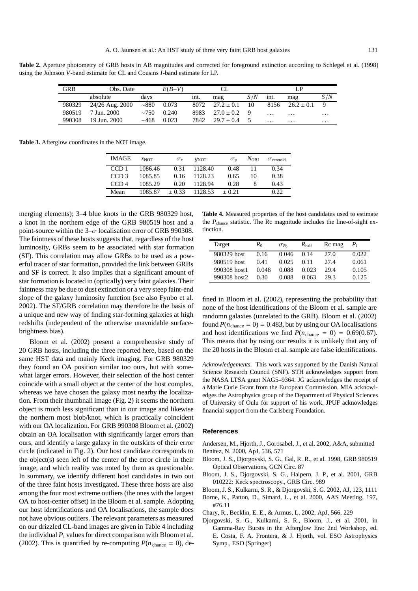Table 2. Aperture photometry of GRB hosts in AB magnitudes and corrected for foreground extinction according to Schlegel et al. (1998) using the Johnson *V*-band estimate for CL and Cousins *I*-band estimate for LP.

| <b>GRB</b> | Obs. Date       |             | $E(B-V)$ | CL.  |                |     | LP       |                |          |
|------------|-----------------|-------------|----------|------|----------------|-----|----------|----------------|----------|
|            | absolute        | days        |          | int. | mag            | S/N | int.     | mag            | S/N      |
| 980329     | 24/26 Aug. 2000 | $\sim 880$  | 0.073    | 8072 | $27.2 \pm 0.1$ | 10  | 8156     | $26.2 \pm 0.1$ |          |
| 980519     | 7 Jun. 2000     | $\sim$ 7.50 | 0.240    | 8983 | $27.0 \pm 0.2$ |     | $\cdot$  | $\cdots$       | $\cdots$ |
| 990308     | 19 Jun. 2000    | ~1.468      | 0.023    | 7842 | $29.7 \pm 0.4$ |     | $\cdots$ | $\cdots$       | $\cdots$ |

**Table 3.** Afterglow coordinates in the NOT image.

| <b>IMAGE</b>     | $x_{\text{NOT}}$ | $\sigma_{r}$ | y <sub>NOT</sub> | $\sigma_u$ | $N_{\rm{OBJ}}$ | $\sigma$ <sub>centroid</sub> |
|------------------|------------------|--------------|------------------|------------|----------------|------------------------------|
| CCD <sub>1</sub> | 1086.46          | 0.31         | 1128.40          | 0.48       | 11             | 0.34                         |
| CCD <sub>3</sub> | 1085.85          | 0.16         | 1128.23          | 0.65       | 10             | 0.38                         |
| CCD <sub>4</sub> | 1085.29          | 0.20         | 1128.94          | 0.28       | 8              | 0.43                         |
| Mean             | 1085.87          | $\pm 0.33$   | 1128.53          | $+0.21$    |                | 0.22.                        |

merging elements); 3–4 blue knots in the GRB 980329 host, a knot in the northern edge of the GRB 980519 host and a point-source within the  $3-\sigma$  localisation error of GRB 990308. The faintness of these hosts suggests that, regardless of the host luminosity, GRBs seem to be associated with star formation (SF). This correlation may allow GRBs to be used as a powerful tracer of star formation, provided the link between GRBs and SF is correct. It also implies that a significant amount of star formation is located in (optically) very faint galaxies. Their faintness may be due to dust extinction or a very steep faint-end slope of the galaxy luminosity function (see also Fynbo et al. 2002). The SF/GRB correlation may therefore be the basis of a unique and new way of finding star-forming galaxies at high redshifts (independent of the otherwise unavoidable surfacebrightness bias).

Bloom et al. (2002) present a comprehensive study of 20 GRB hosts, including the three reported here, based on the same HST data and mainly Keck imaging. For GRB 980329 they found an OA position similar too ours, but with somewhat larger errors. However, their selection of the host center coincide with a small object at the center of the host complex, whereas we have chosen the galaxy most nearby the localization. From their thumbnail image (Fig. 2) it seems the northern object is much less significant than in our image and likewise the northern most blob/knot, which is practically coincident with our OA localization. For GRB 990308 Bloom et al. (2002) obtain an OA localisation with significantly larger errors than ours, and identify a large galaxy in the outskirts of their error circle (indicated in Fig. 2). Our host candidate corresponds to the object(s) seen left of the center of the error circle in their image, and which reality was noted by them as questionable. In summary, we identify different host candidates in two out of the three faint hosts investigated. These three hosts are also among the four most extreme outliers (the ones with the largest OA to host-center offset) in the Bloom et al. sample. Adopting our host identifications and OA localisations, the sample does not have obvious outliers. The relevant parameters as measured on our drizzled CL-band images are given in Table 4 including the individual  $P_i$  values for direct comparison with Bloom et al. (2002). This is quantified by re-computing  $P(n_{chance} = 0)$ , de-

**Table 4.** Measured properties of the host candidates used to estimate the *P*chance statistic. The Rc magnitude includes the line-of-sight extinction.

| Target       | $R_0$ | $\sigma_{R_0}$ | $R_{\rm half}$ | Rc mag | $P_{\rm i}$ |
|--------------|-------|----------------|----------------|--------|-------------|
| 980329 host  | 0.16  | 0.046          | 0.14           | 27.0   | 0.022       |
| 980519 host  | 0.41  | 0.025          | 0.11           | 27.4   | 0.061       |
| 990308 host1 | 0.048 | 0.088          | 0.023          | 29.4   | 0.105       |
| 990308 host2 | 0.30  | 0.088          | 0.063          | 29.3   | 0.125       |

fined in Bloom et al. (2002), representing the probability that none of the host identifications of the Bloom et al. sample are randomn galaxies (unrelated to the GRB). Bloom et al. (2002) found  $P(n_{chance} = 0) = 0.483$ , but by using our OA localisations and host identifications we find  $P(n_{\text{chance}} = 0) = 0.69(0.67)$ . This means that by using our results it is unlikely that any of the 20 hosts in the Bloom et al. sample are false identifications.

*Acknowledgements.* This work was supported by the Danish Natural Science Research Council (SNF). STH acknowledges support from the NASA LTSA grant NAG5–9364. JG acknowledges the receipt of a Marie Curie Grant from the European Commission. MIA acknowledges the Astrophysics group of the Department of Physical Sciences of University of Oulu for support of his work. JPUF acknowledges financial support from the Carlsberg Foundation.

#### **References**

Andersen, M., Hjorth, J., Gorosabel, J., et al. 2002, A&A, submitted Benitez, N. 2000, ApJ, 536, 571

- Bloom, J. S., Djorgovski, S. G., Gal, R. R., et al. 1998, GRB 980519 Optical Observations, GCN Circ. 87
- Bloom, J. S., Djorgovski, S. G., Halpern, J. P., et al. 2001, GRB 010222: Keck spectroscopy., GRB Circ. 989
- Bloom, J. S., Kulkarni, S. R., & Djorgovski, S. G. 2002, AJ, 123, 1111
- Borne, K., Patton, D., Simard, L., et al. 2000, AAS Meeting, 197, #76.11
- Chary, R., Becklin, E. E., & Armus, L. 2002, ApJ, 566, 229
- Djorgovski, S. G., Kulkarni, S. R., Bloom, J., et al. 2001, in Gamma-Ray Bursts in the Afterglow Era: 2nd Workshop, ed. E. Costa, F. A. Frontera, & J. Hjorth, vol. ESO Astrophysics Symp., ESO (Springer)